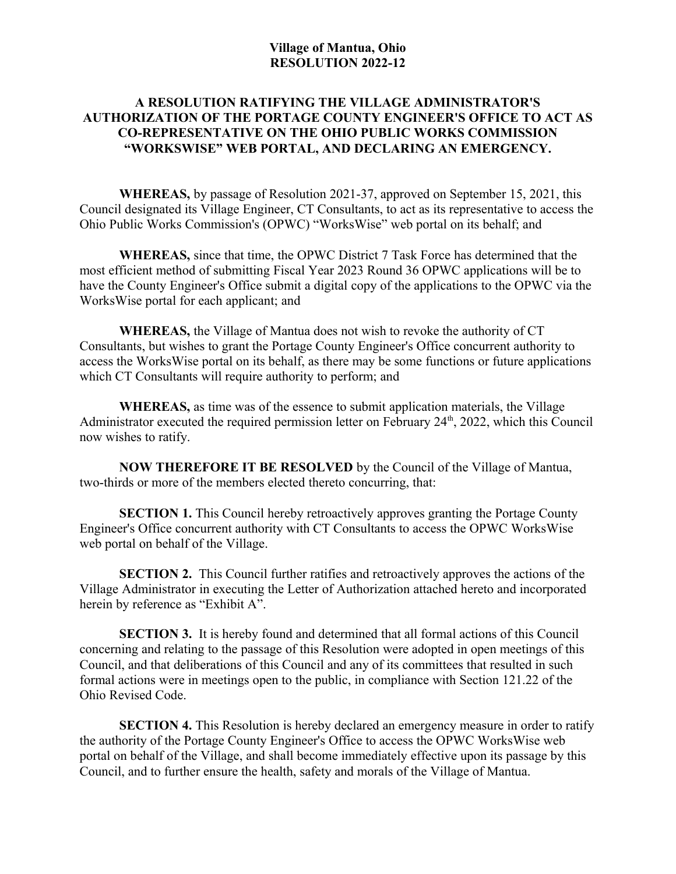## **Village of Mantua, Ohio RESOLUTION 2022-12**

## **A RESOLUTION RATIFYING THE VILLAGE ADMINISTRATOR'S AUTHORIZATION OF THE PORTAGE COUNTY ENGINEER'S OFFICE TO ACT AS CO-REPRESENTATIVE ON THE OHIO PUBLIC WORKS COMMISSION "WORKSWISE" WEB PORTAL, AND DECLARING AN EMERGENCY.**

**WHEREAS,** by passage of Resolution 2021-37, approved on September 15, 2021, this Council designated its Village Engineer, CT Consultants, to act as its representative to access the Ohio Public Works Commission's (OPWC) "WorksWise" web portal on its behalf; and

**WHEREAS,** since that time, the OPWC District 7 Task Force has determined that the most efficient method of submitting Fiscal Year 2023 Round 36 OPWC applications will be to have the County Engineer's Office submit a digital copy of the applications to the OPWC via the WorksWise portal for each applicant; and

**WHEREAS,** the Village of Mantua does not wish to revoke the authority of CT Consultants, but wishes to grant the Portage County Engineer's Office concurrent authority to access the WorksWise portal on its behalf, as there may be some functions or future applications which CT Consultants will require authority to perform; and

**WHEREAS,** as time was of the essence to submit application materials, the Village Administrator executed the required permission letter on February  $24<sup>th</sup>$ ,  $2022$ , which this Council now wishes to ratify.

**NOW THEREFORE IT BE RESOLVED** by the Council of the Village of Mantua, two-thirds or more of the members elected thereto concurring, that:

**SECTION 1.** This Council hereby retroactively approves granting the Portage County Engineer's Office concurrent authority with CT Consultants to access the OPWC WorksWise web portal on behalf of the Village.

**SECTION 2.** This Council further ratifies and retroactively approves the actions of the Village Administrator in executing the Letter of Authorization attached hereto and incorporated herein by reference as "Exhibit A".

**SECTION 3.** It is hereby found and determined that all formal actions of this Council concerning and relating to the passage of this Resolution were adopted in open meetings of this Council, and that deliberations of this Council and any of its committees that resulted in such formal actions were in meetings open to the public, in compliance with Section 121.22 of the Ohio Revised Code.

**SECTION 4.** This Resolution is hereby declared an emergency measure in order to ratify the authority of the Portage County Engineer's Office to access the OPWC WorksWise web portal on behalf of the Village, and shall become immediately effective upon its passage by this Council, and to further ensure the health, safety and morals of the Village of Mantua.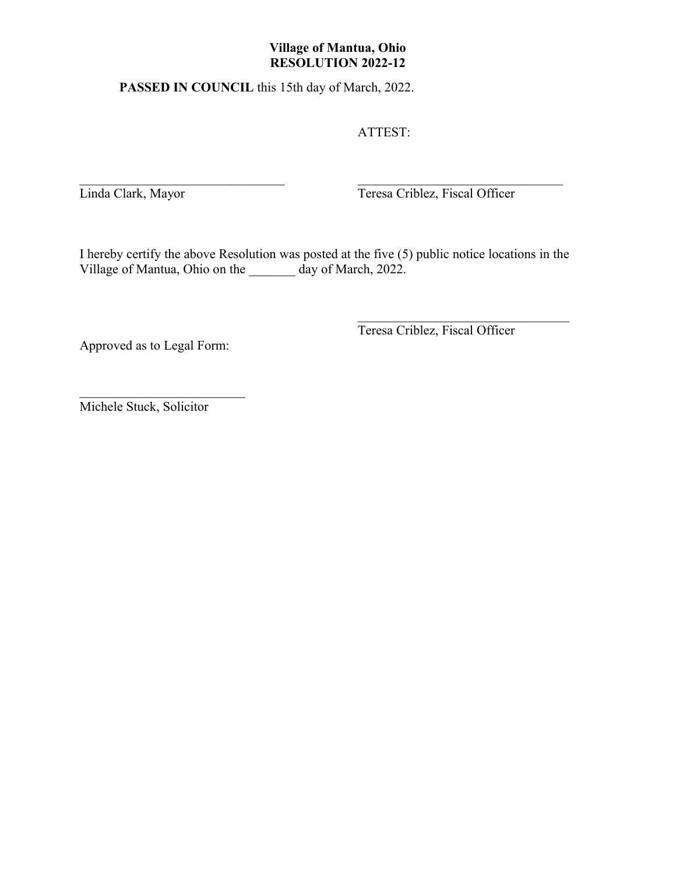## **Village of Mantua, Ohio RESOLUTION 2022-12**

**PASSED IN COUNCIL** this 15th day of March, 2022.

ATTEST:

Linda Clark, Mayor Teresa Criblez, Fiscal Officer

I hereby certify the above Resolution was posted at the five (5) public notice locations in the Village of Mantua, Ohio on the \_\_\_\_\_\_\_ day of March, 2022.

 $\mathcal{L}_\text{max}$  , and the contribution of the contribution of the contribution of the contribution of the contribution of the contribution of the contribution of the contribution of the contribution of the contribution of t

Approved as to Legal Form:

Teresa Criblez, Fiscal Officer

Michele Stuck, Solicitor